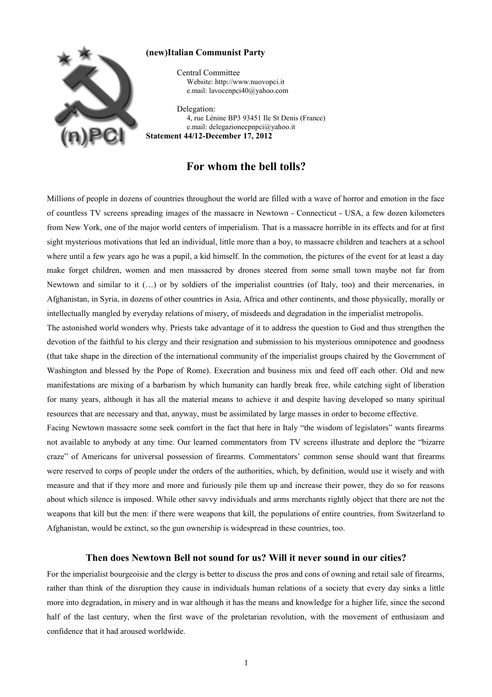

## **(new)Italian Communist Party**

 Central Committee Website: http://www.nuovopci.it e.mail: lavocenpci40@yahoo.com

 Delegation: 4, rue Lénine BP3 93451 Ile St Denis (France) e.mail: delegazionecpnpci@yahoo.it **Statement 44/12-December 17, 2012**

## **For whom the bell tolls?**

Millions of people in dozens of countries throughout the world are filled with a wave of horror and emotion in the face of countless TV screens spreading images of the massacre in Newtown - Connecticut - USA, a few dozen kilometers from New York, one of the major world centers of imperialism. That is a massacre horrible in its effects and for at first sight mysterious motivations that led an individual, little more than a boy, to massacre children and teachers at a school where until a few years ago he was a pupil, a kid himself. In the commotion, the pictures of the event for at least a day make forget children, women and men massacred by drones steered from some small town maybe not far from Newtown and similar to it (…) or by soldiers of the imperialist countries (of Italy, too) and their mercenaries, in Afghanistan, in Syria, in dozens of other countries in Asia, Africa and other continents, and those physically, morally or intellectually mangled by everyday relations of misery, of misdeeds and degradation in the imperialist metropolis.

The astonished world wonders why. Priests take advantage of it to address the question to God and thus strengthen the devotion of the faithful to his clergy and their resignation and submission to his mysterious omnipotence and goodness (that take shape in the direction of the international community of the imperialist groups chaired by the Government of Washington and blessed by the Pope of Rome). Execration and business mix and feed off each other. Old and new manifestations are mixing of a barbarism by which humanity can hardly break free, while catching sight of liberation for many years, although it has all the material means to achieve it and despite having developed so many spiritual resources that are necessary and that, anyway, must be assimilated by large masses in order to become effective.

Facing Newtown massacre some seek comfort in the fact that here in Italy "the wisdom of legislators" wants firearms not available to anybody at any time. Our learned commentators from TV screens illustrate and deplore the "bizarre craze" of Americans for universal possession of firearms. Commentators' common sense should want that firearms were reserved to corps of people under the orders of the authorities, which, by definition, would use it wisely and with measure and that if they more and more and furiously pile them up and increase their power, they do so for reasons about which silence is imposed. While other savvy individuals and arms merchants rightly object that there are not the weapons that kill but the men: if there were weapons that kill, the populations of entire countries, from Switzerland to Afghanistan, would be extinct, so the gun ownership is widespread in these countries, too.

## **Then does Newtown Bell not sound for us? Will it never sound in our cities?**

For the imperialist bourgeoisie and the clergy is better to discuss the pros and cons of owning and retail sale of firearms, rather than think of the disruption they cause in individuals human relations of a society that every day sinks a little more into degradation, in misery and in war although it has the means and knowledge for a higher life, since the second half of the last century, when the first wave of the proletarian revolution, with the movement of enthusiasm and confidence that it had aroused worldwide.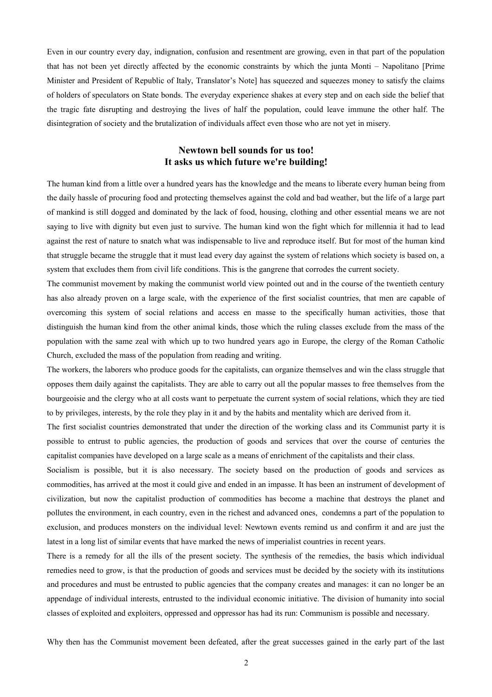Even in our country every day, indignation, confusion and resentment are growing, even in that part of the population that has not been yet directly affected by the economic constraints by which the junta Monti – Napolitano [Prime Minister and President of Republic of Italy, Translator's Note] has squeezed and squeezes money to satisfy the claims of holders of speculators on State bonds. The everyday experience shakes at every step and on each side the belief that the tragic fate disrupting and destroying the lives of half the population, could leave immune the other half. The disintegration of society and the brutalization of individuals affect even those who are not yet in misery.

## **Newtown bell sounds for us too! It asks us which future we're building!**

The human kind from a little over a hundred years has the knowledge and the means to liberate every human being from the daily hassle of procuring food and protecting themselves against the cold and bad weather, but the life of a large part of mankind is still dogged and dominated by the lack of food, housing, clothing and other essential means we are not saying to live with dignity but even just to survive. The human kind won the fight which for millennia it had to lead against the rest of nature to snatch what was indispensable to live and reproduce itself. But for most of the human kind that struggle became the struggle that it must lead every day against the system of relations which society is based on, a system that excludes them from civil life conditions. This is the gangrene that corrodes the current society.

The communist movement by making the communist world view pointed out and in the course of the twentieth century has also already proven on a large scale, with the experience of the first socialist countries, that men are capable of overcoming this system of social relations and access en masse to the specifically human activities, those that distinguish the human kind from the other animal kinds, those which the ruling classes exclude from the mass of the population with the same zeal with which up to two hundred years ago in Europe, the clergy of the Roman Catholic Church, excluded the mass of the population from reading and writing.

The workers, the laborers who produce goods for the capitalists, can organize themselves and win the class struggle that opposes them daily against the capitalists. They are able to carry out all the popular masses to free themselves from the bourgeoisie and the clergy who at all costs want to perpetuate the current system of social relations, which they are tied to by privileges, interests, by the role they play in it and by the habits and mentality which are derived from it.

The first socialist countries demonstrated that under the direction of the working class and its Communist party it is possible to entrust to public agencies, the production of goods and services that over the course of centuries the capitalist companies have developed on a large scale as a means of enrichment of the capitalists and their class.

Socialism is possible, but it is also necessary. The society based on the production of goods and services as commodities, has arrived at the most it could give and ended in an impasse. It has been an instrument of development of civilization, but now the capitalist production of commodities has become a machine that destroys the planet and pollutes the environment, in each country, even in the richest and advanced ones, condemns a part of the population to exclusion, and produces monsters on the individual level: Newtown events remind us and confirm it and are just the latest in a long list of similar events that have marked the news of imperialist countries in recent years.

There is a remedy for all the ills of the present society. The synthesis of the remedies, the basis which individual remedies need to grow, is that the production of goods and services must be decided by the society with its institutions and procedures and must be entrusted to public agencies that the company creates and manages: it can no longer be an appendage of individual interests, entrusted to the individual economic initiative. The division of humanity into social classes of exploited and exploiters, oppressed and oppressor has had its run: Communism is possible and necessary.

Why then has the Communist movement been defeated, after the great successes gained in the early part of the last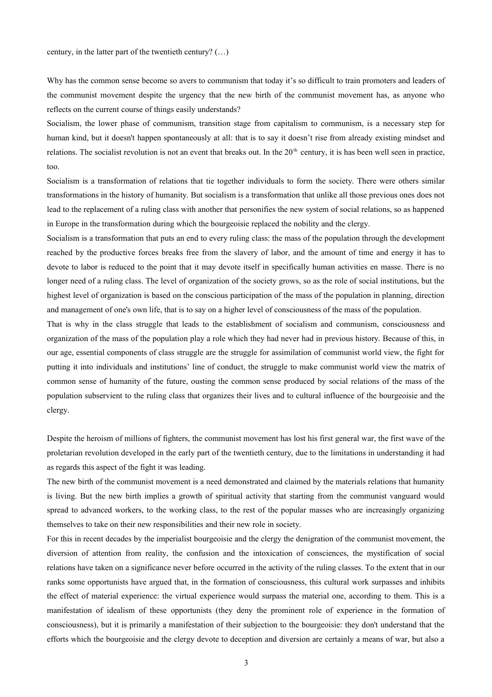century, in the latter part of the twentieth century? (…)

Why has the common sense become so avers to communism that today it's so difficult to train promoters and leaders of the communist movement despite the urgency that the new birth of the communist movement has, as anyone who reflects on the current course of things easily understands?

Socialism, the lower phase of communism, transition stage from capitalism to communism, is a necessary step for human kind, but it doesn't happen spontaneously at all: that is to say it doesn't rise from already existing mindset and relations. The socialist revolution is not an event that breaks out. In the  $20<sup>th</sup>$  century, it is has been well seen in practice, too.

Socialism is a transformation of relations that tie together individuals to form the society. There were others similar transformations in the history of humanity. But socialism is a transformation that unlike all those previous ones does not lead to the replacement of a ruling class with another that personifies the new system of social relations, so as happened in Europe in the transformation during which the bourgeoisie replaced the nobility and the clergy.

Socialism is a transformation that puts an end to every ruling class: the mass of the population through the development reached by the productive forces breaks free from the slavery of labor, and the amount of time and energy it has to devote to labor is reduced to the point that it may devote itself in specifically human activities en masse. There is no longer need of a ruling class. The level of organization of the society grows, so as the role of social institutions, but the highest level of organization is based on the conscious participation of the mass of the population in planning, direction and management of one's own life, that is to say on a higher level of consciousness of the mass of the population.

That is why in the class struggle that leads to the establishment of socialism and communism, consciousness and organization of the mass of the population play a role which they had never had in previous history. Because of this, in our age, essential components of class struggle are the struggle for assimilation of communist world view, the fight for putting it into individuals and institutions' line of conduct, the struggle to make communist world view the matrix of common sense of humanity of the future, ousting the common sense produced by social relations of the mass of the population subservient to the ruling class that organizes their lives and to cultural influence of the bourgeoisie and the clergy.

Despite the heroism of millions of fighters, the communist movement has lost his first general war, the first wave of the proletarian revolution developed in the early part of the twentieth century, due to the limitations in understanding it had as regards this aspect of the fight it was leading.

The new birth of the communist movement is a need demonstrated and claimed by the materials relations that humanity is living. But the new birth implies a growth of spiritual activity that starting from the communist vanguard would spread to advanced workers, to the working class, to the rest of the popular masses who are increasingly organizing themselves to take on their new responsibilities and their new role in society.

For this in recent decades by the imperialist bourgeoisie and the clergy the denigration of the communist movement, the diversion of attention from reality, the confusion and the intoxication of consciences, the mystification of social relations have taken on a significance never before occurred in the activity of the ruling classes. To the extent that in our ranks some opportunists have argued that, in the formation of consciousness, this cultural work surpasses and inhibits the effect of material experience: the virtual experience would surpass the material one, according to them. This is a manifestation of idealism of these opportunists (they deny the prominent role of experience in the formation of consciousness), but it is primarily a manifestation of their subjection to the bourgeoisie: they don't understand that the efforts which the bourgeoisie and the clergy devote to deception and diversion are certainly a means of war, but also a